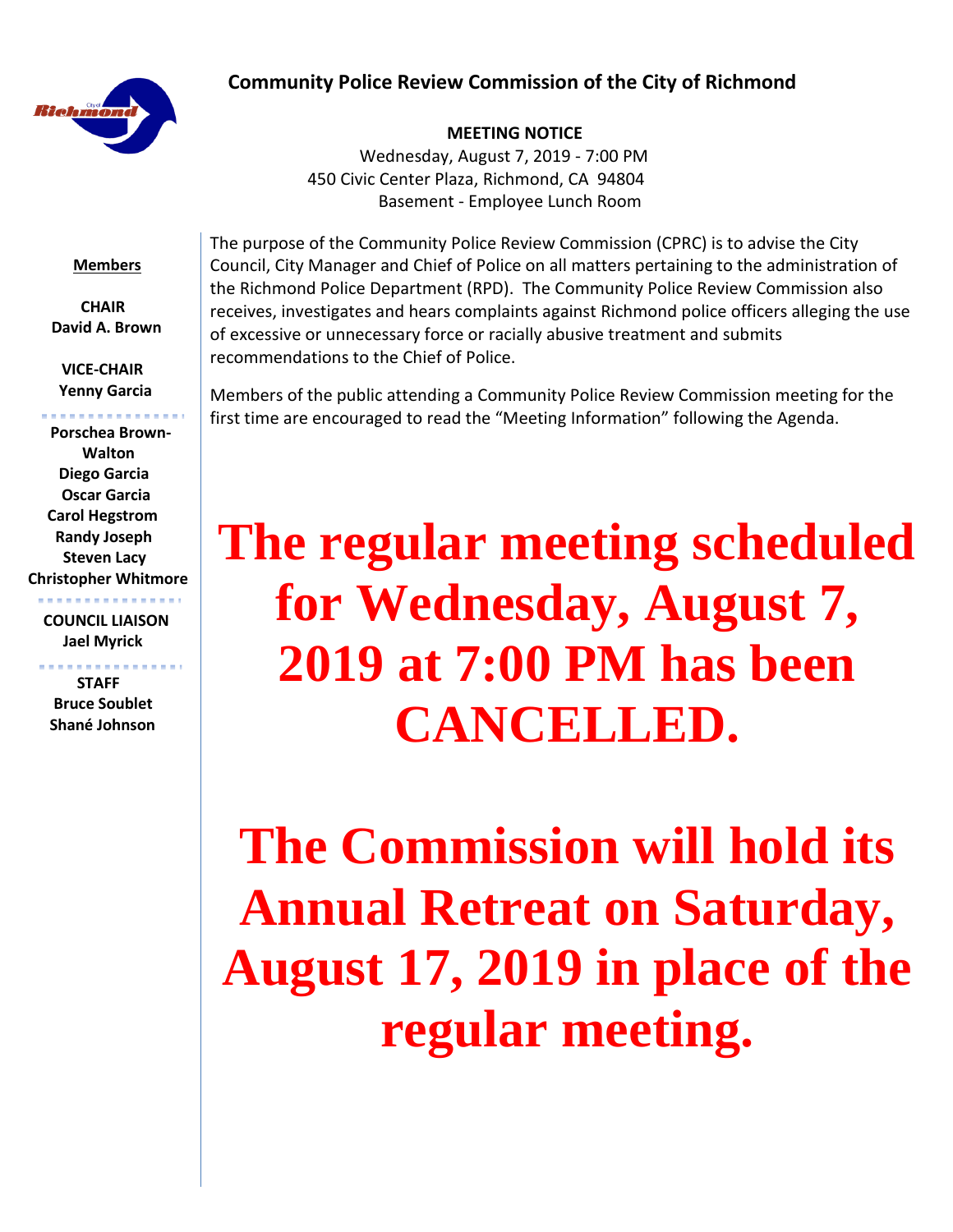## **Community Police Review Commission of the City of Richmond**



#### **MEETING NOTICE**

Wednesday, August 7, 2019 - 7:00 PM 450 Civic Center Plaza, Richmond, CA 94804 Basement - Employee Lunch Room

#### **Members**

 **CHAIR David A. Brown**

 **VICE-CHAIR Yenny Garcia**

 **Porschea Brown- Walton Diego Garcia Oscar Garcia Carol Hegstrom Randy Joseph Steven Lacy Christopher Whitmore**

 **COUNCIL LIAISON Jael Myrick**

. . . . . . . . . . . . . . . . .

 **STAFF Bruce Soublet Shané Johnson**

The purpose of the Community Police Review Commission (CPRC) is to advise the City Council, City Manager and Chief of Police on all matters pertaining to the administration of the Richmond Police Department (RPD). The Community Police Review Commission also receives, investigates and hears complaints against Richmond police officers alleging the use of excessive or unnecessary force or racially abusive treatment and submits recommendations to the Chief of Police.

Members of the public attending a Community Police Review Commission meeting for the first time are encouraged to read the "Meeting Information" following the Agenda.

# **The regular meeting scheduled for Wednesday, August 7, 2019 at 7:00 PM has been CANCELLED.**

**The Commission will hold its Annual Retreat on Saturday, August 17, 2019 in place of the regular meeting.**